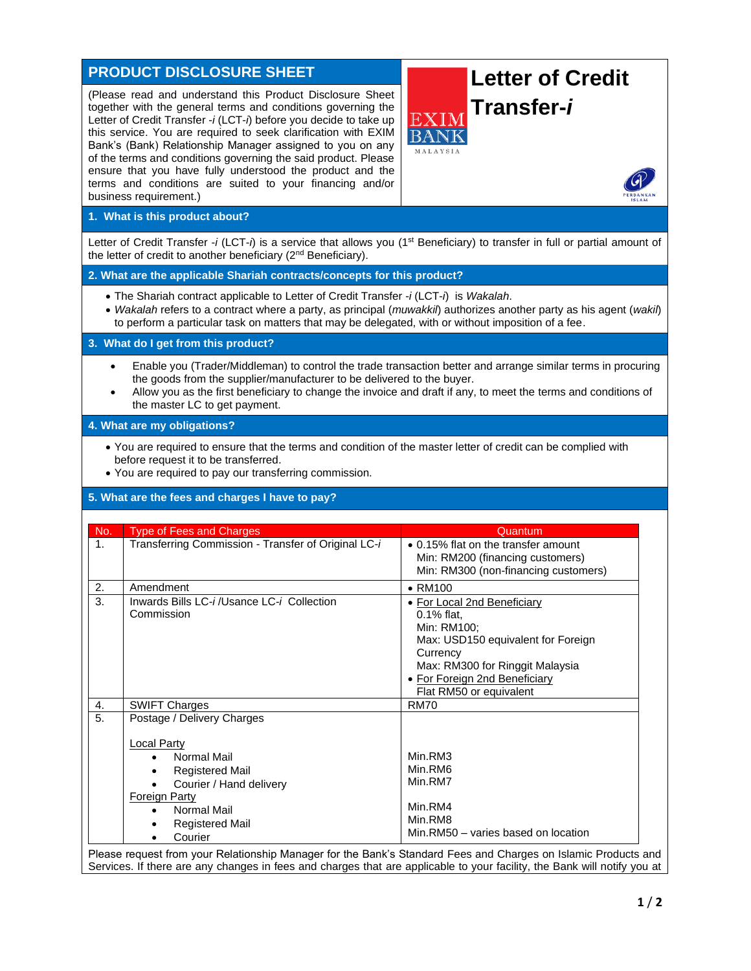| <b>PRODUCT DISCLOSURE SHEET</b>                                                                                                                                                                                                                                                                                                                                                                                                                                                                                                                    | <b>Letter of Credit</b>                                                                                                                                                                                   |
|----------------------------------------------------------------------------------------------------------------------------------------------------------------------------------------------------------------------------------------------------------------------------------------------------------------------------------------------------------------------------------------------------------------------------------------------------------------------------------------------------------------------------------------------------|-----------------------------------------------------------------------------------------------------------------------------------------------------------------------------------------------------------|
| (Please read and understand this Product Disclosure Sheet<br>together with the general terms and conditions governing the<br>Letter of Credit Transfer -i (LCT-i) before you decide to take up<br>this service. You are required to seek clarification with EXIM<br>Bank's (Bank) Relationship Manager assigned to you on any<br>of the terms and conditions governing the said product. Please<br>ensure that you have fully understood the product and the<br>terms and conditions are suited to your financing and/or<br>business requirement.) | Transfer-i<br>EXIN<br>MALAYSIA                                                                                                                                                                            |
| 1. What is this product about?                                                                                                                                                                                                                                                                                                                                                                                                                                                                                                                     |                                                                                                                                                                                                           |
| Letter of Credit Transfer -i (LCT-i) is a service that allows you (1 <sup>st</sup> Beneficiary) to transfer in full or partial amount of<br>the letter of credit to another beneficiary (2 <sup>nd</sup> Beneficiary).                                                                                                                                                                                                                                                                                                                             |                                                                                                                                                                                                           |
| 2. What are the applicable Shariah contracts/concepts for this product?                                                                                                                                                                                                                                                                                                                                                                                                                                                                            |                                                                                                                                                                                                           |
| • The Shariah contract applicable to Letter of Credit Transfer -i (LCT-i) is Wakalah.<br>• Wakalah refers to a contract where a party, as principal (muwakkil) authorizes another party as his agent (wakil)<br>to perform a particular task on matters that may be delegated, with or without imposition of a fee.                                                                                                                                                                                                                                |                                                                                                                                                                                                           |
| 3. What do I get from this product?                                                                                                                                                                                                                                                                                                                                                                                                                                                                                                                |                                                                                                                                                                                                           |
| Enable you (Trader/Middleman) to control the trade transaction better and arrange similar terms in procuring<br>$\bullet$<br>the goods from the supplier/manufacturer to be delivered to the buyer.<br>Allow you as the first beneficiary to change the invoice and draft if any, to meet the terms and conditions of<br>the master LC to get payment.                                                                                                                                                                                             |                                                                                                                                                                                                           |
| 4. What are my obligations?                                                                                                                                                                                                                                                                                                                                                                                                                                                                                                                        |                                                                                                                                                                                                           |
| • You are required to ensure that the terms and condition of the master letter of credit can be complied with<br>before request it to be transferred.<br>• You are required to pay our transferring commission.                                                                                                                                                                                                                                                                                                                                    |                                                                                                                                                                                                           |
| 5. What are the fees and charges I have to pay?                                                                                                                                                                                                                                                                                                                                                                                                                                                                                                    |                                                                                                                                                                                                           |
| <b>Type of Fees and Charges</b><br>No.                                                                                                                                                                                                                                                                                                                                                                                                                                                                                                             | Quantum                                                                                                                                                                                                   |
| Transferring Commission - Transfer of Original LC-i<br>1.                                                                                                                                                                                                                                                                                                                                                                                                                                                                                          | • 0.15% flat on the transfer amount<br>Min: RM200 (financing customers)<br>Min: RM300 (non-financing customers)                                                                                           |
| 2.<br>Amendment                                                                                                                                                                                                                                                                                                                                                                                                                                                                                                                                    | $\bullet$ RM100                                                                                                                                                                                           |
| 3.<br>Inwards Bills LC-i/Usance LC-i Collection<br>Commission                                                                                                                                                                                                                                                                                                                                                                                                                                                                                      | • For Local 2nd Beneficiary<br>0.1% flat,<br>Min: RM100;<br>Max: USD150 equivalent for Foreign<br>Currency<br>Max: RM300 for Ringgit Malaysia<br>• For Foreign 2nd Beneficiary<br>Flat RM50 or equivalent |
| <b>SWIFT Charges</b><br>4.                                                                                                                                                                                                                                                                                                                                                                                                                                                                                                                         | <b>RM70</b>                                                                                                                                                                                               |
| $\overline{5}$ .<br>Postage / Delivery Charges<br><b>Local Party</b><br>Normal Mail<br>$\bullet$<br><b>Registered Mail</b><br>Courier / Hand delivery<br><b>Foreign Party</b><br>Normal Mail<br>$\bullet$                                                                                                                                                                                                                                                                                                                                          | Min.RM3<br>Min.RM6<br>Min.RM7<br>Min.RM4                                                                                                                                                                  |
| <b>Registered Mail</b>                                                                                                                                                                                                                                                                                                                                                                                                                                                                                                                             | Min.RM8<br>Min.RM50 - varies based on location                                                                                                                                                            |
| Courier<br>$\bullet$<br>Please request from your Relationship Manager for the Bank's Standard Fees and Charges on Islamic Products and                                                                                                                                                                                                                                                                                                                                                                                                             |                                                                                                                                                                                                           |

Services. If there are any changes in fees and charges that are applicable to your facility, the Bank will notify you at